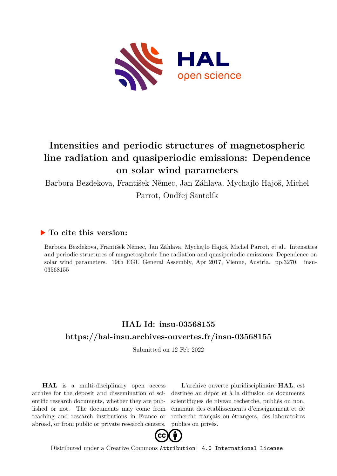

## **Intensities and periodic structures of magnetospheric line radiation and quasiperiodic emissions: Dependence on solar wind parameters**

Barbora Bezdekova, František Němec, Jan Záhlava, Mychajlo Hajoš, Michel

Parrot, Ondřej Santolík

## **To cite this version:**

Barbora Bezdekova, František Němec, Jan Záhlava, Mychajlo Hajoš, Michel Parrot, et al.. Intensities and periodic structures of magnetospheric line radiation and quasiperiodic emissions: Dependence on solar wind parameters. 19th EGU General Assembly, Apr 2017, Vienne, Austria. pp.3270. insu-03568155

## **HAL Id: insu-03568155 <https://hal-insu.archives-ouvertes.fr/insu-03568155>**

Submitted on 12 Feb 2022

**HAL** is a multi-disciplinary open access archive for the deposit and dissemination of scientific research documents, whether they are published or not. The documents may come from teaching and research institutions in France or abroad, or from public or private research centers.

L'archive ouverte pluridisciplinaire **HAL**, est destinée au dépôt et à la diffusion de documents scientifiques de niveau recherche, publiés ou non, émanant des établissements d'enseignement et de recherche français ou étrangers, des laboratoires publics ou privés.



Distributed under a Creative Commons [Attribution| 4.0 International License](http://creativecommons.org/licenses/by/4.0/)